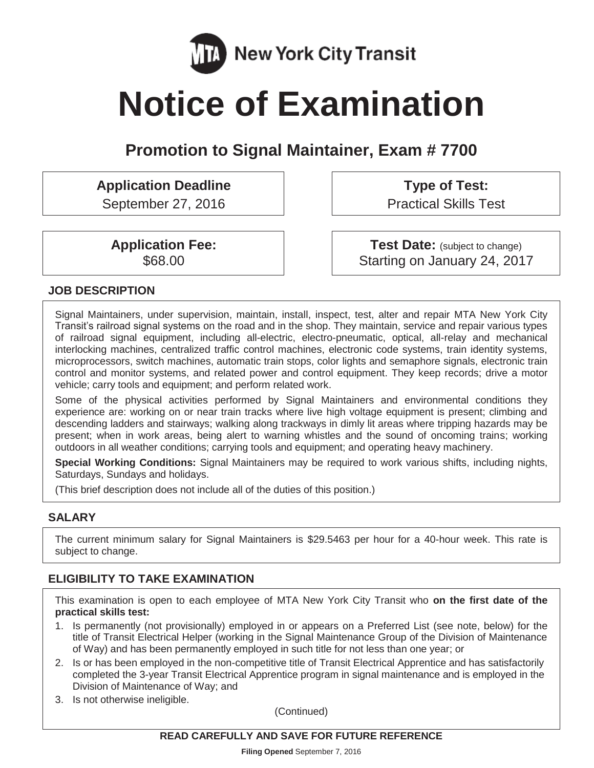

# **Notice of Examination**

## **Promotion to Signal Maintainer, Exam # 7700**

## **Application Deadline**

September 27, 2016

**Type of Test:**  Practical Skills Test

**Application Fee:**  \$68.00

**Test Date:** (subject to change) Starting on January 24, 2017

#### **JOB DESCRIPTION**

Signal Maintainers, under supervision, maintain, install, inspect, test, alter and repair MTA New York City Transit's railroad signal systems on the road and in the shop. They maintain, service and repair various types of railroad signal equipment, including all-electric, electro-pneumatic, optical, all-relay and mechanical interlocking machines, centralized traffic control machines, electronic code systems, train identity systems, microprocessors, switch machines, automatic train stops, color lights and semaphore signals, electronic train control and monitor systems, and related power and control equipment. They keep records; drive a motor vehicle; carry tools and equipment; and perform related work.

Some of the physical activities performed by Signal Maintainers and environmental conditions they experience are: working on or near train tracks where live high voltage equipment is present; climbing and descending ladders and stairways; walking along trackways in dimly lit areas where tripping hazards may be present; when in work areas, being alert to warning whistles and the sound of oncoming trains; working outdoors in all weather conditions; carrying tools and equipment; and operating heavy machinery.

**Special Working Conditions:** Signal Maintainers may be required to work various shifts, including nights, Saturdays, Sundays and holidays.

(This brief description does not include all of the duties of this position.)

#### **SALARY**

The current minimum salary for Signal Maintainers is \$29.5463 per hour for a 40-hour week. This rate is subject to change.

#### **ELIGIBILITY TO TAKE EXAMINATION**

This examination is open to each employee of MTA New York City Transit who **on the first date of the practical skills test:** 

- 1. Is permanently (not provisionally) employed in or appears on a Preferred List (see note, below) for the title of Transit Electrical Helper (working in the Signal Maintenance Group of the Division of Maintenance of Way) and has been permanently employed in such title for not less than one year; or
- 2. Is or has been employed in the non-competitive title of Transit Electrical Apprentice and has satisfactorily completed the 3-year Transit Electrical Apprentice program in signal maintenance and is employed in the Division of Maintenance of Way; and
- 3. Is not otherwise ineligible.

(Continued)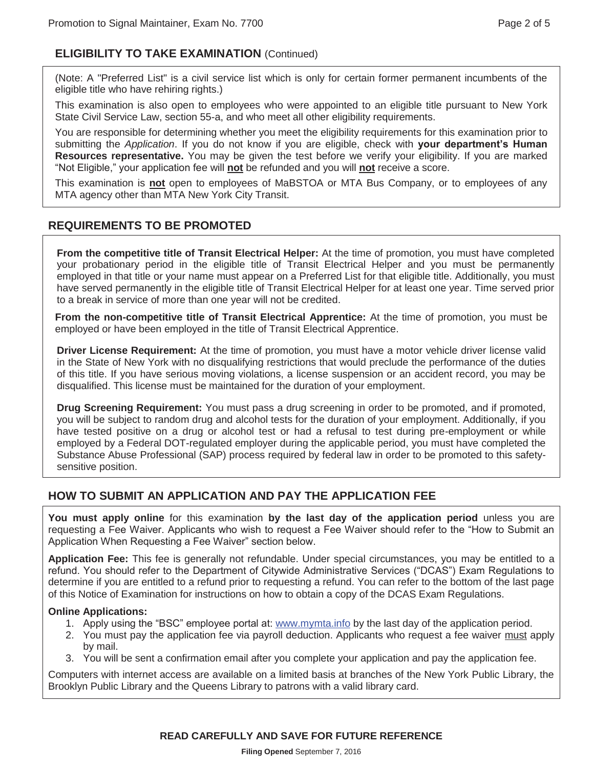#### **ELIGIBILITY TO TAKE EXAMINATION** (Continued)

(Note: A "Preferred List" is a civil service list which is only for certain former permanent incumbents of the eligible title who have rehiring rights.)

This examination is also open to employees who were appointed to an eligible title pursuant to New York State Civil Service Law, section 55-a, and who meet all other eligibility requirements.

You are responsible for determining whether you meet the eligibility requirements for this examination prior to submitting the *Application*. If you do not know if you are eligible, check with **your department's Human Resources representative.** You may be given the test before we verify your eligibility. If you are marked "Not Eligible," your application fee will **not** be refunded and you will **not** receive a score.

This examination is **not** open to employees of MaBSTOA or MTA Bus Company, or to employees of any MTA agency other than MTA New York City Transit.

#### **REQUIREMENTS TO BE PROMOTED**

**From the competitive title of Transit Electrical Helper:** At the time of promotion, you must have completed your probationary period in the eligible title of Transit Electrical Helper and you must be permanently employed in that title or your name must appear on a Preferred List for that eligible title. Additionally, you must have served permanently in the eligible title of Transit Electrical Helper for at least one year. Time served prior to a break in service of more than one year will not be credited.

**From the non-competitive title of Transit Electrical Apprentice:** At the time of promotion, you must be employed or have been employed in the title of Transit Electrical Apprentice.

**Driver License Requirement:** At the time of promotion, you must have a motor vehicle driver license valid in the State of New York with no disqualifying restrictions that would preclude the performance of the duties of this title. If you have serious moving violations, a license suspension or an accident record, you may be disqualified. This license must be maintained for the duration of your employment.

**Drug Screening Requirement:** You must pass a drug screening in order to be promoted, and if promoted, you will be subject to random drug and alcohol tests for the duration of your employment. Additionally, if you have tested positive on a drug or alcohol test or had a refusal to test during pre-employment or while employed by a Federal DOT-regulated employer during the applicable period, you must have completed the Substance Abuse Professional (SAP) process required by federal law in order to be promoted to this safetysensitive position.

#### **HOW TO SUBMIT AN APPLICATION AND PAY THE APPLICATION FEE**

**You must apply online** for this examination **by the last day of the application period** unless you are requesting a Fee Waiver. Applicants who wish to request a Fee Waiver should refer to the "How to Submit an Application When Requesting a Fee Waiver" section below.

**Application Fee:** This fee is generally not refundable. Under special circumstances, you may be entitled to a refund. You should refer to the Department of Citywide Administrative Services ("DCAS") Exam Regulations to determine if you are entitled to a refund prior to requesting a refund. You can refer to the bottom of the last page of this Notice of Examination for instructions on how to obtain a copy of the DCAS Exam Regulations.

#### **Online Applications:**

- 1. Apply using the "BSC" employee portal at: www.mymta.info by the last day of the application period.
- 2. You must pay the application fee via payroll deduction. Applicants who request a fee waiver must apply by mail.
- 3. You will be sent a confirmation email after you complete your application and pay the application fee.

Computers with internet access are available on a limited basis at branches of the New York Public Library, the Brooklyn Public Library and the Queens Library to patrons with a valid library card.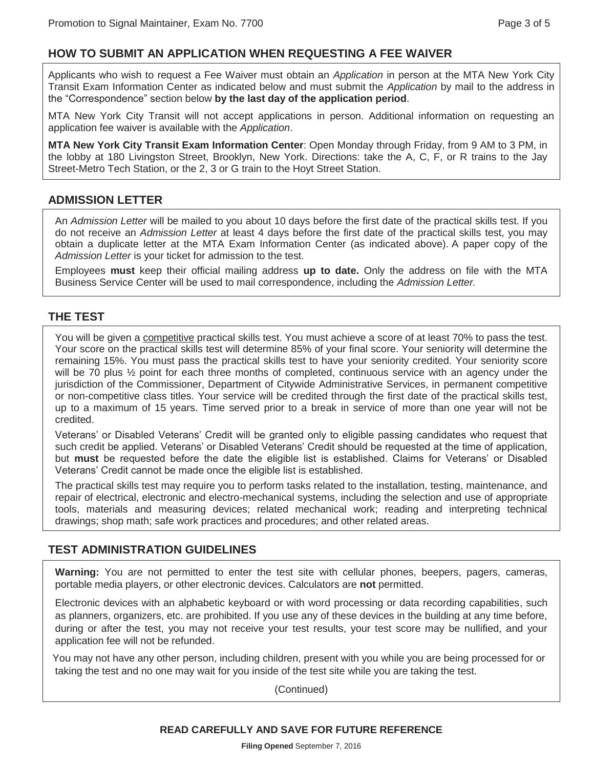#### **HOW TO SUBMIT AN APPLICATION WHEN REQUESTING A FEE WAIVER**

Applicants who wish to request a Fee Waiver must obtain an *Application* in person at the MTA New York City Transit Exam Information Center as indicated below and must submit the *Application* by mail to the address in the "Correspondence" section below **by the last day of the application period**.

MTA New York City Transit will not accept applications in person. Additional information on requesting an application fee waiver is available with the *Application*.

**MTA New York City Transit Exam Information Center**: Open Monday through Friday, from 9 AM to 3 PM, in the lobby at 180 Livingston Street, Brooklyn, New York. Directions: take the A, C, F, or R trains to the Jay Street-Metro Tech Station, or the 2, 3 or G train to the Hoyt Street Station.

#### **ADMISSION LETTER**

An *Admission Letter* will be mailed to you about 10 days before the first date of the practical skills test. If you do not receive an *Admission Letter* at least 4 days before the first date of the practical skills test, you may obtain a duplicate letter at the MTA Exam Information Center (as indicated above). A paper copy of the *Admission Letter* is your ticket for admission to the test.

Employees **must** keep their official mailing address **up to date.** Only the address on file with the MTA Business Service Center will be used to mail correspondence, including the *Admission Letter.*

#### **THE TEST**

You will be given a competitive practical skills test. You must achieve a score of at least 70% to pass the test. Your score on the practical skills test will determine 85% of your final score. Your seniority will determine the remaining 15%. You must pass the practical skills test to have your seniority credited. Your seniority score will be 70 plus  $\frac{1}{2}$  point for each three months of completed, continuous service with an agency under the jurisdiction of the Commissioner, Department of Citywide Administrative Services, in permanent competitive or non-competitive class titles. Your service will be credited through the first date of the practical skills test, up to a maximum of 15 years. Time served prior to a break in service of more than one year will not be credited.

Veterans' or Disabled Veterans' Credit will be granted only to eligible passing candidates who request that such credit be applied. Veterans' or Disabled Veterans' Credit should be requested at the time of application, but **must** be requested before the date the eligible list is established. Claims for Veterans' or Disabled Veterans' Credit cannot be made once the eligible list is established.

The practical skills test may require you to perform tasks related to the installation, testing, maintenance, and repair of electrical, electronic and electro-mechanical systems, including the selection and use of appropriate tools, materials and measuring devices; related mechanical work; reading and interpreting technical drawings; shop math; safe work practices and procedures; and other related areas.

#### **TEST ADMINISTRATION GUIDELINES**

**Warning:** You are not permitted to enter the test site with cellular phones, beepers, pagers, cameras, portable media players, or other electronic devices. Calculators are **not** permitted.

Electronic devices with an alphabetic keyboard or with word processing or data recording capabilities, such as planners, organizers, etc. are prohibited. If you use any of these devices in the building at any time before, during or after the test, you may not receive your test results, your test score may be nullified, and your application fee will not be refunded.

You may not have any other person, including children, present with you while you are being processed for or taking the test and no one may wait for you inside of the test site while you are taking the test.

(Continued)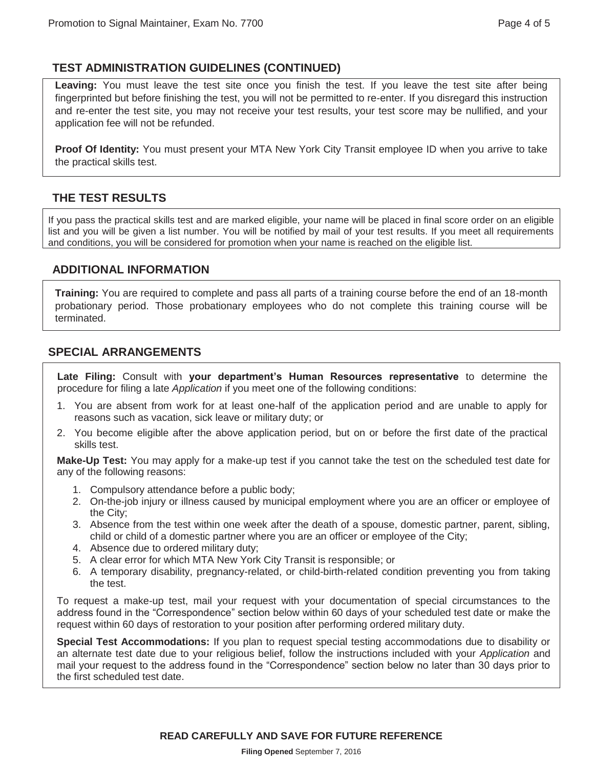### **TEST ADMINISTRATION GUIDELINES (CONTINUED)**

**Leaving:** You must leave the test site once you finish the test. If you leave the test site after being fingerprinted but before finishing the test, you will not be permitted to re-enter. If you disregard this instruction and re-enter the test site, you may not receive your test results, your test score may be nullified, and your application fee will not be refunded.

**Proof Of Identity:** You must present your MTA New York City Transit employee ID when you arrive to take the practical skills test.

### **THE TEST RESULTS**

If you pass the practical skills test and are marked eligible, your name will be placed in final score order on an eligible list and you will be given a list number. You will be notified by mail of your test results. If you meet all requirements and conditions, you will be considered for promotion when your name is reached on the eligible list.

#### **ADDITIONAL INFORMATION**

**Training:** You are required to complete and pass all parts of a training course before the end of an 18-month probationary period. Those probationary employees who do not complete this training course will be terminated.

#### **SPECIAL ARRANGEMENTS**

**Late Filing:** Consult with **your department's Human Resources representative** to determine the procedure for filing a late *Application* if you meet one of the following conditions:

- 1. You are absent from work for at least one-half of the application period and are unable to apply for reasons such as vacation, sick leave or military duty; or
- 2. You become eligible after the above application period, but on or before the first date of the practical skills test.

**Make-Up Test:** You may apply for a make-up test if you cannot take the test on the scheduled test date for any of the following reasons:

- 1. Compulsory attendance before a public body;
- 2. On-the-job injury or illness caused by municipal employment where you are an officer or employee of the City;
- 3. Absence from the test within one week after the death of a spouse, domestic partner, parent, sibling, child or child of a domestic partner where you are an officer or employee of the City;
- 4. Absence due to ordered military duty;
- 5. A clear error for which MTA New York City Transit is responsible; or
- 6. A temporary disability, pregnancy-related, or child-birth-related condition preventing you from taking the test.

To request a make-up test, mail your request with your documentation of special circumstances to the address found in the "Correspondence" section below within 60 days of your scheduled test date or make the request within 60 days of restoration to your position after performing ordered military duty.

**Special Test Accommodations:** If you plan to request special testing accommodations due to disability or an alternate test date due to your religious belief, follow the instructions included with your *Application* and mail your request to the address found in the "Correspondence" section below no later than 30 days prior to the first scheduled test date.